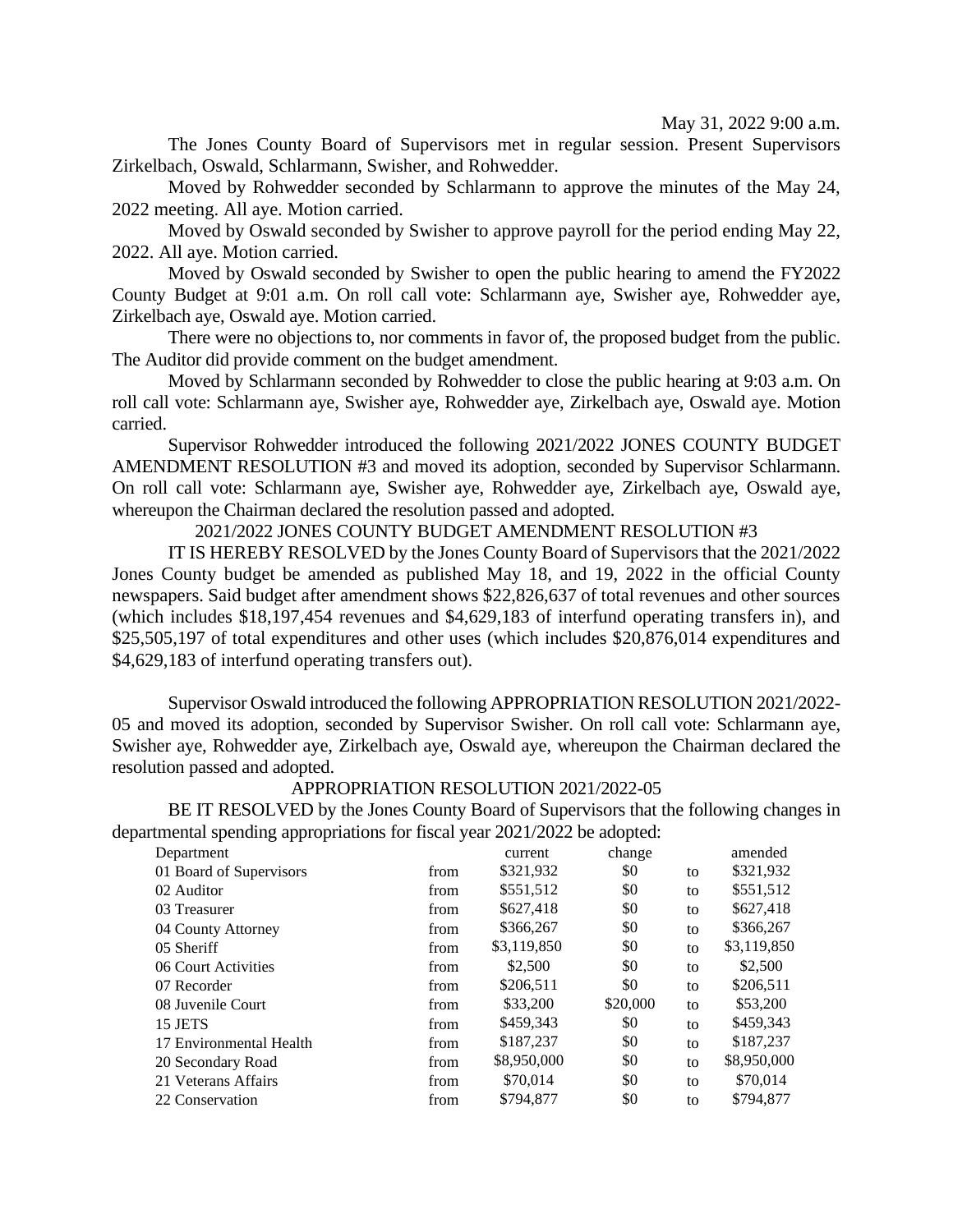May 31, 2022 9:00 a.m.

The Jones County Board of Supervisors met in regular session. Present Supervisors Zirkelbach, Oswald, Schlarmann, Swisher, and Rohwedder.

Moved by Rohwedder seconded by Schlarmann to approve the minutes of the May 24, 2022 meeting. All aye. Motion carried.

Moved by Oswald seconded by Swisher to approve payroll for the period ending May 22, 2022. All aye. Motion carried.

Moved by Oswald seconded by Swisher to open the public hearing to amend the FY2022 County Budget at 9:01 a.m. On roll call vote: Schlarmann aye, Swisher aye, Rohwedder aye, Zirkelbach aye, Oswald aye. Motion carried.

There were no objections to, nor comments in favor of, the proposed budget from the public. The Auditor did provide comment on the budget amendment.

Moved by Schlarmann seconded by Rohwedder to close the public hearing at 9:03 a.m. On roll call vote: Schlarmann aye, Swisher aye, Rohwedder aye, Zirkelbach aye, Oswald aye. Motion carried.

Supervisor Rohwedder introduced the following 2021/2022 JONES COUNTY BUDGET AMENDMENT RESOLUTION #3 and moved its adoption, seconded by Supervisor Schlarmann. On roll call vote: Schlarmann aye, Swisher aye, Rohwedder aye, Zirkelbach aye, Oswald aye, whereupon the Chairman declared the resolution passed and adopted.

## 2021/2022 JONES COUNTY BUDGET AMENDMENT RESOLUTION #3

IT IS HEREBY RESOLVED by the Jones County Board of Supervisors that the 2021/2022 Jones County budget be amended as published May 18, and 19, 2022 in the official County newspapers. Said budget after amendment shows \$22,826,637 of total revenues and other sources (which includes \$18,197,454 revenues and \$4,629,183 of interfund operating transfers in), and \$25,505,197 of total expenditures and other uses (which includes \$20,876,014 expenditures and \$4,629,183 of interfund operating transfers out).

Supervisor Oswald introduced the following APPROPRIATION RESOLUTION 2021/2022- 05 and moved its adoption, seconded by Supervisor Swisher. On roll call vote: Schlarmann aye, Swisher aye, Rohwedder aye, Zirkelbach aye, Oswald aye, whereupon the Chairman declared the resolution passed and adopted.

## APPROPRIATION RESOLUTION 2021/2022-05

BE IT RESOLVED by the Jones County Board of Supervisors that the following changes in departmental spending appropriations for fiscal year 2021/2022 be adopted:

| Department              |      | current     | change   |    | amended     |
|-------------------------|------|-------------|----------|----|-------------|
| 01 Board of Supervisors | from | \$321,932   | \$0      | to | \$321,932   |
| 02 Auditor              | from | \$551,512   | \$0      | to | \$551,512   |
| 03 Treasurer            | from | \$627,418   | \$0      | to | \$627,418   |
| 04 County Attorney      | from | \$366,267   | \$0      | to | \$366,267   |
| 05 Sheriff              | from | \$3,119,850 | \$0      | to | \$3,119,850 |
| 06 Court Activities     | from | \$2,500     | \$0      | to | \$2,500     |
| 07 Recorder             | from | \$206,511   | \$0      | to | \$206,511   |
| 08 Juvenile Court       | from | \$33,200    | \$20,000 | to | \$53,200    |
| 15 JETS                 | from | \$459,343   | \$0      | to | \$459,343   |
| 17 Environmental Health | from | \$187,237   | \$0      | to | \$187,237   |
| 20 Secondary Road       | from | \$8,950,000 | \$0      | to | \$8,950,000 |
| 21 Veterans Affairs     | from | \$70,014    | \$0      | to | \$70,014    |
| 22 Conservation         | from | \$794,877   | \$0      | to | \$794.877   |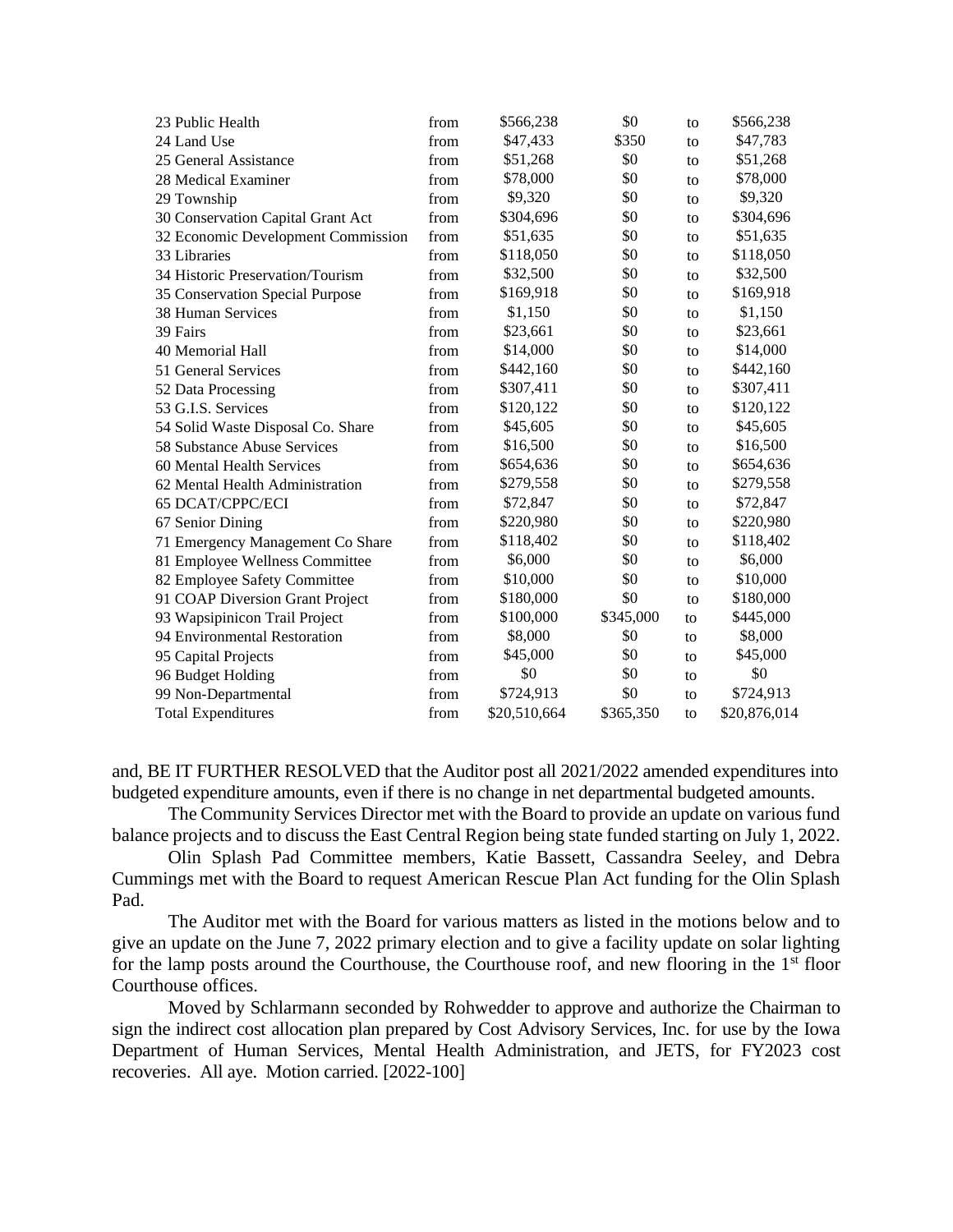| 23 Public Health                   | from | \$566,238    | \$0       | to | \$566,238    |
|------------------------------------|------|--------------|-----------|----|--------------|
| 24 Land Use                        | from | \$47,433     | \$350     | to | \$47,783     |
| 25 General Assistance              | from | \$51,268     | \$0       | to | \$51,268     |
| 28 Medical Examiner                | from | \$78,000     | \$0       | to | \$78,000     |
| 29 Township                        | from | \$9,320      | \$0       | to | \$9,320      |
| 30 Conservation Capital Grant Act  | from | \$304,696    | \$0       | to | \$304,696    |
| 32 Economic Development Commission | from | \$51,635     | \$0       | to | \$51,635     |
| 33 Libraries                       | from | \$118,050    | \$0       | to | \$118,050    |
| 34 Historic Preservation/Tourism   | from | \$32,500     | \$0       | to | \$32,500     |
| 35 Conservation Special Purpose    | from | \$169,918    | \$0       | to | \$169,918    |
| 38 Human Services                  | from | \$1,150      | \$0       | to | \$1,150      |
| 39 Fairs                           | from | \$23,661     | \$0       | to | \$23,661     |
| 40 Memorial Hall                   | from | \$14,000     | \$0       | to | \$14,000     |
| 51 General Services                | from | \$442,160    | \$0       | to | \$442,160    |
| 52 Data Processing                 | from | \$307,411    | \$0       | to | \$307,411    |
| 53 G.I.S. Services                 | from | \$120,122    | \$0       | to | \$120,122    |
| 54 Solid Waste Disposal Co. Share  | from | \$45,605     | \$0       | to | \$45,605     |
| 58 Substance Abuse Services        | from | \$16,500     | \$0       | to | \$16,500     |
| 60 Mental Health Services          | from | \$654,636    | \$0       | to | \$654,636    |
| 62 Mental Health Administration    | from | \$279,558    | \$0       | to | \$279,558    |
| <b>65 DCAT/CPPC/ECI</b>            | from | \$72,847     | \$0       | to | \$72,847     |
| 67 Senior Dining                   | from | \$220,980    | \$0       | to | \$220,980    |
| 71 Emergency Management Co Share   | from | \$118,402    | \$0       | to | \$118,402    |
| 81 Employee Wellness Committee     | from | \$6,000      | \$0       | to | \$6,000      |
| 82 Employee Safety Committee       | from | \$10,000     | \$0       | to | \$10,000     |
| 91 COAP Diversion Grant Project    | from | \$180,000    | \$0       | to | \$180,000    |
| 93 Wapsipinicon Trail Project      | from | \$100,000    | \$345,000 | to | \$445,000    |
| 94 Environmental Restoration       | from | \$8,000      | \$0       | to | \$8,000      |
| 95 Capital Projects                | from | \$45,000     | \$0       | to | \$45,000     |
| 96 Budget Holding                  | from | \$0          | \$0       | to | \$0          |
| 99 Non-Departmental                | from | \$724,913    | \$0       | to | \$724,913    |
| <b>Total Expenditures</b>          | from | \$20,510,664 | \$365,350 | to | \$20,876,014 |

and, BE IT FURTHER RESOLVED that the Auditor post all 2021/2022 amended expenditures into budgeted expenditure amounts, even if there is no change in net departmental budgeted amounts.

The Community Services Director met with the Board to provide an update on various fund balance projects and to discuss the East Central Region being state funded starting on July 1, 2022.

Olin Splash Pad Committee members, Katie Bassett, Cassandra Seeley, and Debra Cummings met with the Board to request American Rescue Plan Act funding for the Olin Splash Pad.

The Auditor met with the Board for various matters as listed in the motions below and to give an update on the June 7, 2022 primary election and to give a facility update on solar lighting for the lamp posts around the Courthouse, the Courthouse roof, and new flooring in the 1<sup>st</sup> floor Courthouse offices.

Moved by Schlarmann seconded by Rohwedder to approve and authorize the Chairman to sign the indirect cost allocation plan prepared by Cost Advisory Services, Inc. for use by the Iowa Department of Human Services, Mental Health Administration, and JETS, for FY2023 cost recoveries. All aye. Motion carried. [2022-100]